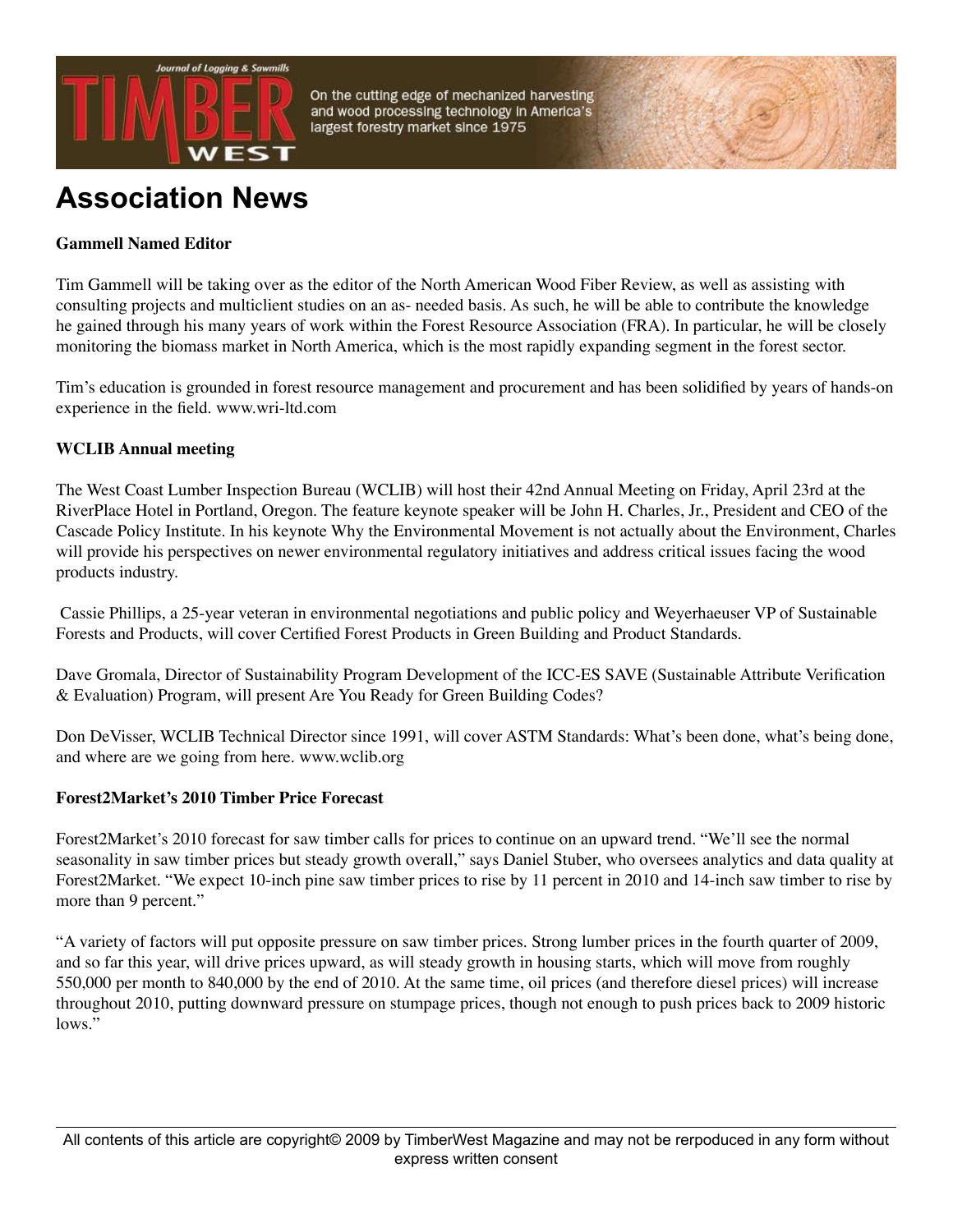

On the cutting edge of mechanized harvesting and wood processing technology in America's largest forestry market since 1975

# **Association News**

## **Gammell Named Editor**

Tim Gammell will be taking over as the editor of the North American Wood Fiber Review, as well as assisting with consulting projects and multiclient studies on an as- needed basis. As such, he will be able to contribute the knowledge he gained through his many years of work within the Forest Resource Association (FRA). In particular, he will be closely monitoring the biomass market in North America, which is the most rapidly expanding segment in the forest sector.

Tim's education is grounded in forest resource management and procurement and has been solidified by years of hands-on experience in the field. www.wri-ltd.com

### **WCLIB Annual meeting**

The West Coast Lumber Inspection Bureau (WCLIB) will host their 42nd Annual Meeting on Friday, April 23rd at the RiverPlace Hotel in Portland, Oregon. The feature keynote speaker will be John H. Charles, Jr., President and CEO of the Cascade Policy Institute. In his keynote Why the Environmental Movement is not actually about the Environment, Charles will provide his perspectives on newer environmental regulatory initiatives and address critical issues facing the wood products industry.

Cassie Phillips, a 25-year veteran in environmental negotiations and public policy and Weyerhaeuser VP of Sustainable Forests and Products, will cover Certified Forest Products in Green Building and Product Standards.

Dave Gromala, Director of Sustainability Program Development of the ICC-ES SAVE (Sustainable Attribute Verification & Evaluation) Program, will present Are You Ready for Green Building Codes?

Don DeVisser, WCLIB Technical Director since 1991, will cover ASTM Standards: What's been done, what's being done, and where are we going from here. www.wclib.org

#### **Forest2Market's 2010 Timber Price Forecast**

Forest2Market's 2010 forecast for saw timber calls for prices to continue on an upward trend. "We'll see the normal seasonality in saw timber prices but steady growth overall," says Daniel Stuber, who oversees analytics and data quality at Forest2Market. "We expect 10-inch pine saw timber prices to rise by 11 percent in 2010 and 14-inch saw timber to rise by more than 9 percent."

"A variety of factors will put opposite pressure on saw timber prices. Strong lumber prices in the fourth quarter of 2009, and so far this year, will drive prices upward, as will steady growth in housing starts, which will move from roughly 550,000 per month to 840,000 by the end of 2010. At the same time, oil prices (and therefore diesel prices) will increase throughout 2010, putting downward pressure on stumpage prices, though not enough to push prices back to 2009 historic lows."